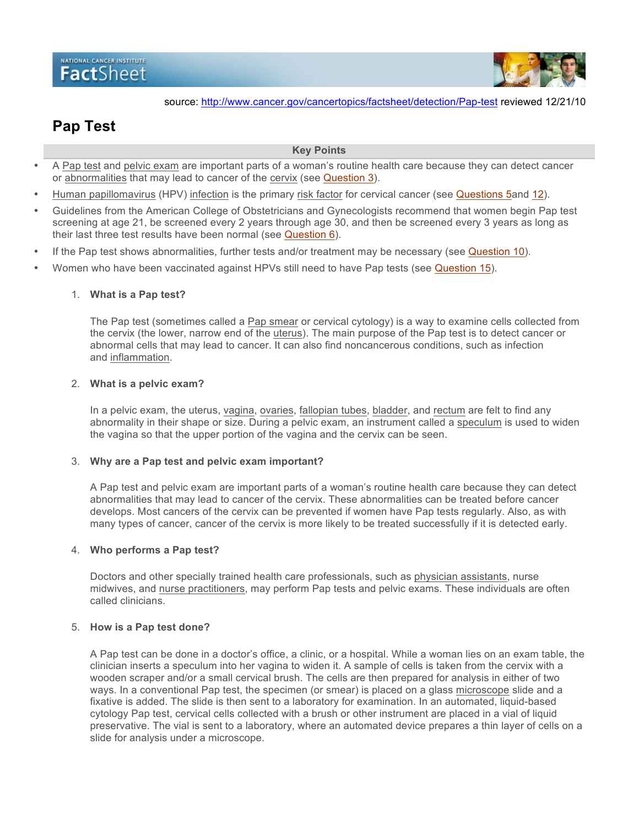# NATIONAL CANCER INSTITUTE FactSheet



source: http://www.cancer.gov/cancertopics/factsheet/detection/Pap-test reviewed 12/21/10

# **Pap Test**

#### **Key Points**

- A Pap test and pelvic exam are important parts of a woman's routine health care because they can detect cancer or abnormalities that may lead to cancer of the cervix (see Question 3).
- Human papillomavirus (HPV) infection is the primary risk factor for cervical cancer (see Questions 5and 12).
- Guidelines from the American College of Obstetricians and Gynecologists recommend that women begin Pap test screening at age 21, be screened every 2 years through age 30, and then be screened every 3 years as long as their last three test results have been normal (see Question 6).
- If the Pap test shows abnormalities, further tests and/or treatment may be necessary (see Question 10).
- Women who have been vaccinated against HPVs still need to have Pap tests (see **Question 15**).

#### 1. **What is a Pap test?**

The Pap test (sometimes called a Pap smear or cervical cytology) is a way to examine cells collected from the cervix (the lower, narrow end of the uterus). The main purpose of the Pap test is to detect cancer or abnormal cells that may lead to cancer. It can also find noncancerous conditions, such as infection and inflammation.

#### 2. **What is a pelvic exam?**

In a pelvic exam, the uterus, vagina, ovaries, fallopian tubes, bladder, and rectum are felt to find any abnormality in their shape or size. During a pelvic exam, an instrument called a speculum is used to widen the vagina so that the upper portion of the vagina and the cervix can be seen.

#### 3. **Why are a Pap test and pelvic exam important?**

A Pap test and pelvic exam are important parts of a woman's routine health care because they can detect abnormalities that may lead to cancer of the cervix. These abnormalities can be treated before cancer develops. Most cancers of the cervix can be prevented if women have Pap tests regularly. Also, as with many types of cancer, cancer of the cervix is more likely to be treated successfully if it is detected early.

#### 4. **Who performs a Pap test?**

Doctors and other specially trained health care professionals, such as physician assistants, nurse midwives, and nurse practitioners, may perform Pap tests and pelvic exams. These individuals are often called clinicians.

#### 5. **How is a Pap test done?**

A Pap test can be done in a doctor's office, a clinic, or a hospital. While a woman lies on an exam table, the clinician inserts a speculum into her vagina to widen it. A sample of cells is taken from the cervix with a wooden scraper and/or a small cervical brush. The cells are then prepared for analysis in either of two ways. In a conventional Pap test, the specimen (or smear) is placed on a glass microscope slide and a fixative is added. The slide is then sent to a laboratory for examination. In an automated, liquid-based cytology Pap test, cervical cells collected with a brush or other instrument are placed in a vial of liquid preservative. The vial is sent to a laboratory, where an automated device prepares a thin layer of cells on a slide for analysis under a microscope.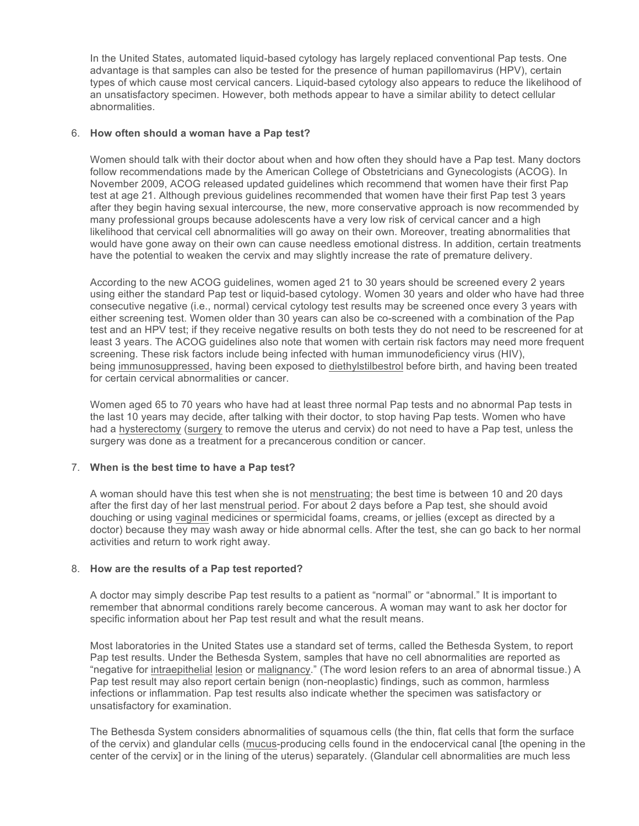In the United States, automated liquid-based cytology has largely replaced conventional Pap tests. One advantage is that samples can also be tested for the presence of human papillomavirus (HPV), certain types of which cause most cervical cancers. Liquid-based cytology also appears to reduce the likelihood of an unsatisfactory specimen. However, both methods appear to have a similar ability to detect cellular abnormalities.

## 6. **How often should a woman have a Pap test?**

Women should talk with their doctor about when and how often they should have a Pap test. Many doctors follow recommendations made by the American College of Obstetricians and Gynecologists (ACOG). In November 2009, ACOG released updated guidelines which recommend that women have their first Pap test at age 21. Although previous guidelines recommended that women have their first Pap test 3 years after they begin having sexual intercourse, the new, more conservative approach is now recommended by many professional groups because adolescents have a very low risk of cervical cancer and a high likelihood that cervical cell abnormalities will go away on their own. Moreover, treating abnormalities that would have gone away on their own can cause needless emotional distress. In addition, certain treatments have the potential to weaken the cervix and may slightly increase the rate of premature delivery.

According to the new ACOG guidelines, women aged 21 to 30 years should be screened every 2 years using either the standard Pap test or liquid-based cytology. Women 30 years and older who have had three consecutive negative (i.e., normal) cervical cytology test results may be screened once every 3 years with either screening test. Women older than 30 years can also be co-screened with a combination of the Pap test and an HPV test; if they receive negative results on both tests they do not need to be rescreened for at least 3 years. The ACOG guidelines also note that women with certain risk factors may need more frequent screening. These risk factors include being infected with human immunodeficiency virus (HIV), being immunosuppressed, having been exposed to diethylstilbestrol before birth, and having been treated for certain cervical abnormalities or cancer.

Women aged 65 to 70 years who have had at least three normal Pap tests and no abnormal Pap tests in the last 10 years may decide, after talking with their doctor, to stop having Pap tests. Women who have had a hysterectomy (surgery to remove the uterus and cervix) do not need to have a Pap test, unless the surgery was done as a treatment for a precancerous condition or cancer.

# 7. **When is the best time to have a Pap test?**

A woman should have this test when she is not menstruating; the best time is between 10 and 20 days after the first day of her last menstrual period. For about 2 days before a Pap test, she should avoid douching or using vaginal medicines or spermicidal foams, creams, or jellies (except as directed by a doctor) because they may wash away or hide abnormal cells. After the test, she can go back to her normal activities and return to work right away.

#### 8. **How are the results of a Pap test reported?**

A doctor may simply describe Pap test results to a patient as "normal" or "abnormal." It is important to remember that abnormal conditions rarely become cancerous. A woman may want to ask her doctor for specific information about her Pap test result and what the result means.

Most laboratories in the United States use a standard set of terms, called the Bethesda System, to report Pap test results. Under the Bethesda System, samples that have no cell abnormalities are reported as "negative for intraepithelial lesion or malignancy." (The word lesion refers to an area of abnormal tissue.) A Pap test result may also report certain benign (non-neoplastic) findings, such as common, harmless infections or inflammation. Pap test results also indicate whether the specimen was satisfactory or unsatisfactory for examination.

The Bethesda System considers abnormalities of squamous cells (the thin, flat cells that form the surface of the cervix) and glandular cells (mucus-producing cells found in the endocervical canal [the opening in the center of the cervix] or in the lining of the uterus) separately. (Glandular cell abnormalities are much less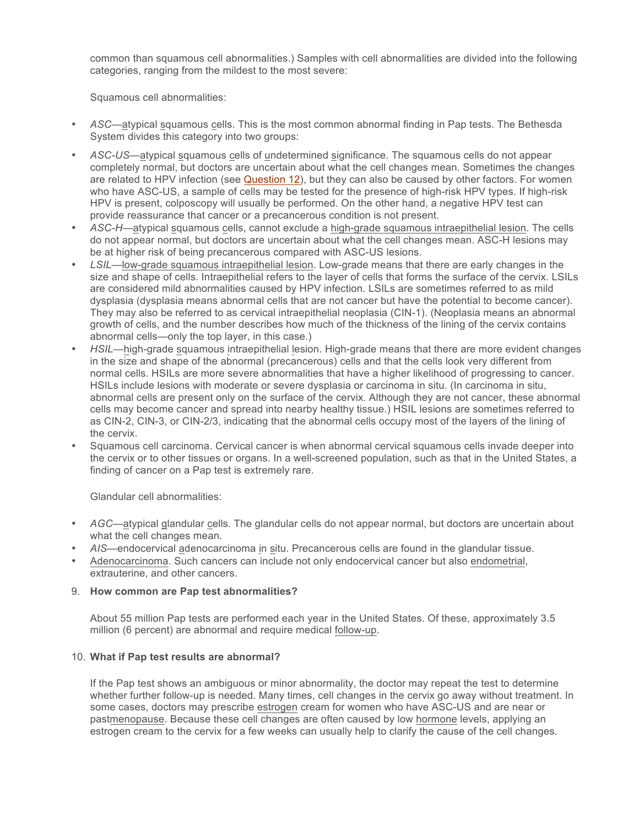common than squamous cell abnormalities.) Samples with cell abnormalities are divided into the following categories, ranging from the mildest to the most severe:

Squamous cell abnormalities:

- *ASC*—atypical squamous cells. This is the most common abnormal finding in Pap tests. The Bethesda System divides this category into two groups:
- *ASC-US*—atypical squamous cells of undetermined significance. The squamous cells do not appear completely normal, but doctors are uncertain about what the cell changes mean. Sometimes the changes are related to HPV infection (see Question 12), but they can also be caused by other factors. For women who have ASC-US, a sample of cells may be tested for the presence of high-risk HPV types. If high-risk HPV is present, colposcopy will usually be performed. On the other hand, a negative HPV test can provide reassurance that cancer or a precancerous condition is not present.
- *ASC-H—*atypical squamous cells, cannot exclude a high-grade squamous intraepithelial lesion. The cells do not appear normal, but doctors are uncertain about what the cell changes mean. ASC-H lesions may be at higher risk of being precancerous compared with ASC-US lesions.
- *LSIL—*low-grade squamous intraepithelial lesion. Low-grade means that there are early changes in the size and shape of cells. Intraepithelial refers to the layer of cells that forms the surface of the cervix. LSILs are considered mild abnormalities caused by HPV infection. LSILs are sometimes referred to as mild dysplasia (dysplasia means abnormal cells that are not cancer but have the potential to become cancer). They may also be referred to as cervical intraepithelial neoplasia (CIN-1). (Neoplasia means an abnormal growth of cells, and the number describes how much of the thickness of the lining of the cervix contains abnormal cells—only the top layer, in this case.)
- *HSIL—high-grade squamous intraepithelial lesion. High-grade means that there are more evident changes* in the size and shape of the abnormal (precancerous) cells and that the cells look very different from normal cells. HSILs are more severe abnormalities that have a higher likelihood of progressing to cancer. HSILs include lesions with moderate or severe dysplasia or carcinoma in situ. (In carcinoma in situ, abnormal cells are present only on the surface of the cervix. Although they are not cancer, these abnormal cells may become cancer and spread into nearby healthy tissue.) HSIL lesions are sometimes referred to as CIN-2, CIN-3, or CIN-2/3, indicating that the abnormal cells occupy most of the layers of the lining of the cervix.
- Squamous cell carcinoma. Cervical cancer is when abnormal cervical squamous cells invade deeper into the cervix or to other tissues or organs. In a well-screened population, such as that in the United States, a finding of cancer on a Pap test is extremely rare.

Glandular cell abnormalities:

- *AGC—*atypical glandular cells. The glandular cells do not appear normal, but doctors are uncertain about what the cell changes mean.
- AIS—endocervical adenocarcinoma in situ. Precancerous cells are found in the glandular tissue.
- Adenocarcinoma. Such cancers can include not only endocervical cancer but also endometrial, extrauterine, and other cancers.

#### 9. **How common are Pap test abnormalities?**

About 55 million Pap tests are performed each year in the United States. Of these, approximately 3.5 million (6 percent) are abnormal and require medical follow-up.

#### 10. **What if Pap test results are abnormal?**

If the Pap test shows an ambiguous or minor abnormality, the doctor may repeat the test to determine whether further follow-up is needed. Many times, cell changes in the cervix go away without treatment. In some cases, doctors may prescribe estrogen cream for women who have ASC-US and are near or pastmenopause. Because these cell changes are often caused by low hormone levels, applying an estrogen cream to the cervix for a few weeks can usually help to clarify the cause of the cell changes.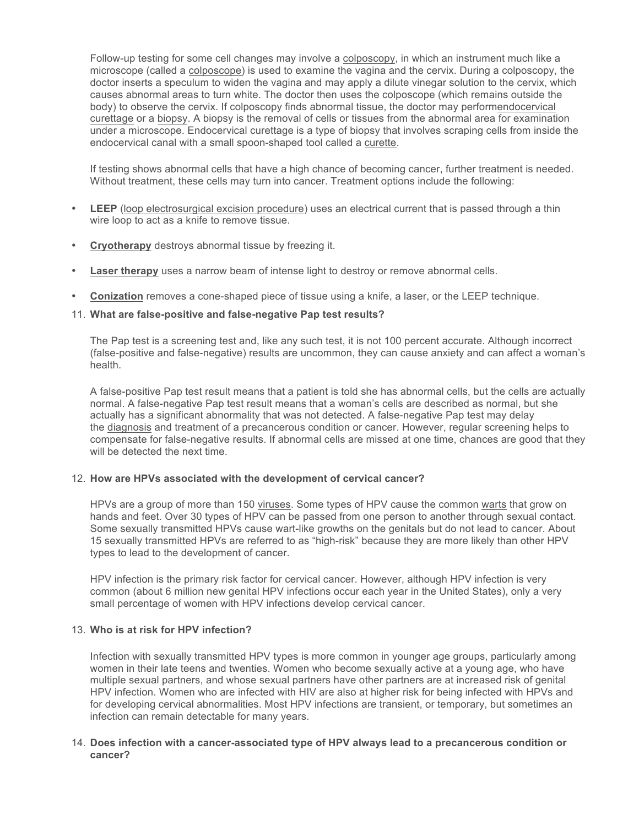Follow-up testing for some cell changes may involve a colposcopy, in which an instrument much like a microscope (called a colposcope) is used to examine the vagina and the cervix. During a colposcopy, the doctor inserts a speculum to widen the vagina and may apply a dilute vinegar solution to the cervix, which causes abnormal areas to turn white. The doctor then uses the colposcope (which remains outside the body) to observe the cervix. If colposcopy finds abnormal tissue, the doctor may performendocervical curettage or a biopsy. A biopsy is the removal of cells or tissues from the abnormal area for examination under a microscope. Endocervical curettage is a type of biopsy that involves scraping cells from inside the endocervical canal with a small spoon-shaped tool called a curette.

If testing shows abnormal cells that have a high chance of becoming cancer, further treatment is needed. Without treatment, these cells may turn into cancer. Treatment options include the following:

- **LEEP** (loop electrosurgical excision procedure) uses an electrical current that is passed through a thin wire loop to act as a knife to remove tissue.
- **Cryotherapy** destroys abnormal tissue by freezing it.
- **Laser therapy** uses a narrow beam of intense light to destroy or remove abnormal cells.
- **Conization** removes a cone-shaped piece of tissue using a knife, a laser, or the LEEP technique.

# 11. **What are false-positive and false-negative Pap test results?**

The Pap test is a screening test and, like any such test, it is not 100 percent accurate. Although incorrect (false-positive and false-negative) results are uncommon, they can cause anxiety and can affect a woman's health.

A false-positive Pap test result means that a patient is told she has abnormal cells, but the cells are actually normal. A false-negative Pap test result means that a woman's cells are described as normal, but she actually has a significant abnormality that was not detected. A false-negative Pap test may delay the diagnosis and treatment of a precancerous condition or cancer. However, regular screening helps to compensate for false-negative results. If abnormal cells are missed at one time, chances are good that they will be detected the next time.

#### 12. **How are HPVs associated with the development of cervical cancer?**

HPVs are a group of more than 150 viruses. Some types of HPV cause the common warts that grow on hands and feet. Over 30 types of HPV can be passed from one person to another through sexual contact. Some sexually transmitted HPVs cause wart-like growths on the genitals but do not lead to cancer. About 15 sexually transmitted HPVs are referred to as "high-risk" because they are more likely than other HPV types to lead to the development of cancer.

HPV infection is the primary risk factor for cervical cancer. However, although HPV infection is very common (about 6 million new genital HPV infections occur each year in the United States), only a very small percentage of women with HPV infections develop cervical cancer.

#### 13. **Who is at risk for HPV infection?**

Infection with sexually transmitted HPV types is more common in younger age groups, particularly among women in their late teens and twenties. Women who become sexually active at a young age, who have multiple sexual partners, and whose sexual partners have other partners are at increased risk of genital HPV infection. Women who are infected with HIV are also at higher risk for being infected with HPVs and for developing cervical abnormalities. Most HPV infections are transient, or temporary, but sometimes an infection can remain detectable for many years.

#### 14. **Does infection with a cancer-associated type of HPV always lead to a precancerous condition or cancer?**